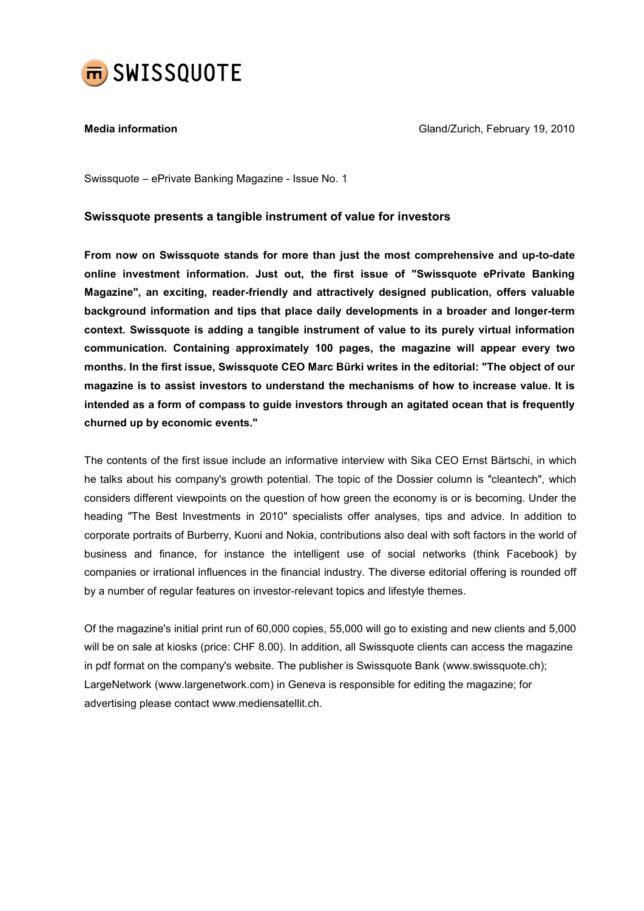

Media information Gland/Zurich, February 19, 2010

Swissquote – ePrivate Banking Magazine - Issue No. 1

## Swissquote presents a tangible instrument of value for investors

From now on Swissquote stands for more than just the most comprehensive and up-to-date online investment information. Just out, the first issue of "Swissquote ePrivate Banking Magazine", an exciting, reader-friendly and attractively designed publication, offers valuable background information and tips that place daily developments in a broader and longer-term context. Swissquote is adding a tangible instrument of value to its purely virtual information communication. Containing approximately 100 pages, the magazine will appear every two months. In the first issue, Swissquote CEO Marc Bürki writes in the editorial: "The object of our magazine is to assist investors to understand the mechanisms of how to increase value. It is intended as a form of compass to guide investors through an agitated ocean that is frequently churned up by economic events."

The contents of the first issue include an informative interview with Sika CEO Ernst Bärtschi, in which he talks about his company's growth potential. The topic of the Dossier column is "cleantech", which considers different viewpoints on the question of how green the economy is or is becoming. Under the heading "The Best Investments in 2010" specialists offer analyses, tips and advice. In addition to corporate portraits of Burberry, Kuoni and Nokia, contributions also deal with soft factors in the world of business and finance, for instance the intelligent use of social networks (think Facebook) by companies or irrational influences in the financial industry. The diverse editorial offering is rounded off by a number of regular features on investor-relevant topics and lifestyle themes.

Of the magazine's initial print run of 60,000 copies, 55,000 will go to existing and new clients and 5,000 will be on sale at kiosks (price: CHF 8.00). In addition, all Swissquote clients can access the magazine in pdf format on the company's website. The publisher is Swissquote Bank (www.swissquote.ch); LargeNetwork (www.largenetwork.com) in Geneva is responsible for editing the magazine; for advertising please contact www.mediensatellit.ch.